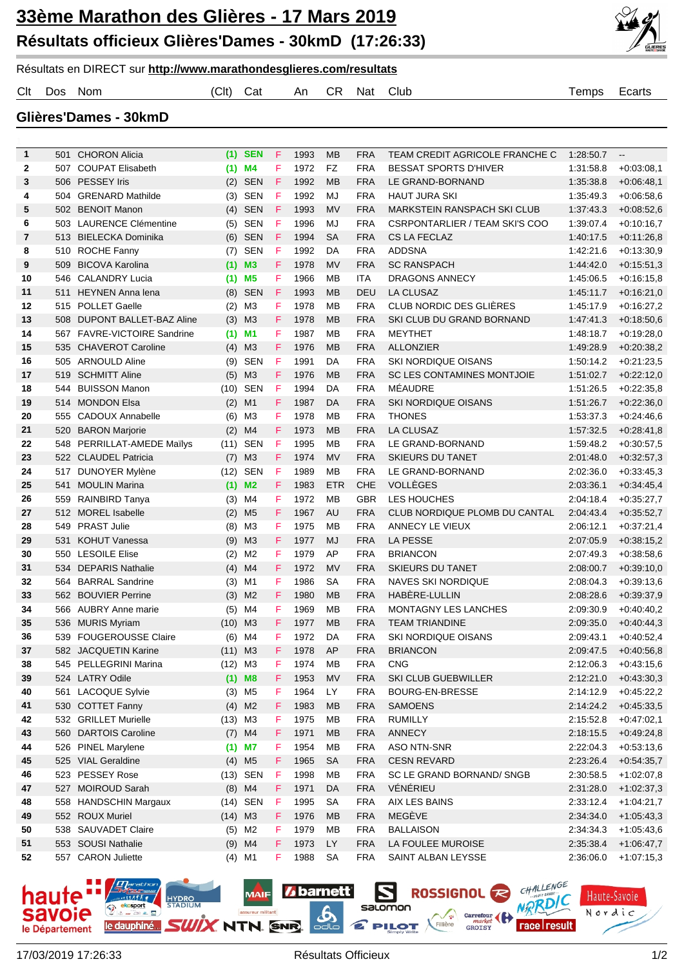## **33ème Marathon des Glières - 17 Mars 2019 Résultats officieux Glières'Dames - 30kmD (17:26:33)**



Résultats en DIRECT sur **http://www.marathondesglieres.com/resultats**

Clt Dos Nom (Clt) Cat An CR Nat Club Temps Ecarts

**Glières'Dames - 30kmD**

| 1        | 501        | <b>CHORON Alicia</b>                            |            | $(1)$ SEN            | F      | 1993         | МB              | <b>FRA</b>               | TEAM CREDIT AGRICOLE FRANCHE C             | 1.28.50.7              | $\overline{\phantom{a}}$     |
|----------|------------|-------------------------------------------------|------------|----------------------|--------|--------------|-----------------|--------------------------|--------------------------------------------|------------------------|------------------------------|
| 2        | 507        | <b>COUPAT Elisabeth</b>                         |            | $(1)$ M4             | F      | 1972         | <b>FZ</b>       | <b>FRA</b>               | <b>BESSAT SPORTS D'HIVER</b>               | 1:31:58.8              | $+0.03:08,1$                 |
| 3        |            | 506 PESSEY Iris                                 |            | $(2)$ SEN            | F      | 1992         | MB              | <b>FRA</b>               | LE GRAND-BORNAND                           | 1:35:38.8              | $+0.06:48,1$                 |
| 4        | 504        | <b>GRENARD Mathilde</b>                         |            | $(3)$ SEN            | F      | 1992         | MJ              | <b>FRA</b>               | <b>HAUT JURA SKI</b>                       | 1:35:49.3              | $+0.06:58,6$                 |
| 5        |            | 502 BENOIT Manon                                |            | $(4)$ SEN            | F      | 1993         | MV              | <b>FRA</b>               | <b>MARKSTEIN RANSPACH SKI CLUB</b>         | 1:37:43.3              | $+0.08:52,6$                 |
| 6        | 503        | <b>LAURENCE Clémentine</b>                      | (5)        | SEN                  | F      | 1996         | MJ              | <b>FRA</b>               | CSRPONTARLIER / TEAM SKI'S COO             | 1.39.07.4              | $+0.10:16,7$                 |
| 7        | 513        | <b>BIELECKA Dominika</b>                        |            | (6) SEN              | F      | 1994         | SA              | <b>FRA</b>               | <b>CS LA FECLAZ</b>                        | 1.40.17.5              | $+0.11:26,8$                 |
| 8        | 510        | <b>ROCHE Fanny</b>                              | (7)        | SEN                  | F      | 1992         | DA              | <b>FRA</b>               | <b>ADDSNA</b>                              | 1:42:21.6              | $+0.13.30,9$                 |
| 9        | 509        | <b>BICOVA Karolina</b>                          |            | $(1)$ M3             | F.     | 1978         | MV              | <b>FRA</b>               | <b>SC RANSPACH</b>                         | 1:44:42.0              | $+0.15.51,3$                 |
| 10       | 546        | <b>CALANDRY Lucia</b>                           |            | $(1)$ M5             | F      | 1966         | МB              | ITA                      | DRAGONS ANNECY                             | 1:45:06.5              | $+0.16.15.8$                 |
| 11       | 511        | <b>HEYNEN Anna lena</b>                         |            | (8) SEN              | F      | 1993         | MB              | DEU                      | <b>LA CLUSAZ</b>                           | 1:45:11.7              | $+0.16:21,0$                 |
| 12       | 515        | <b>POLLET Gaelle</b>                            | (2)        | M3                   | F      | 1978         | <b>MB</b>       | <b>FRA</b>               | CLUB NORDIC DES GLIÈRES                    | 1:45:17.9              | $+0.16:27,2$                 |
| 13       | 508        | <b>DUPONT BALLET-BAZ Aline</b>                  |            | $(3)$ M3             | F.     | 1978         | <b>MB</b>       | <b>FRA</b>               | SKI CLUB DU GRAND BORNAND                  | 1.47.41.3              | $+0.18:50,6$                 |
| 14       | 567        | <b>FAVRE-VICTOIRE Sandrine</b>                  |            | $(1)$ M1             | F      | 1987         | MB              | <b>FRA</b>               | <b>MEYTHET</b>                             | 1:48:18.7              | $+0.19:28,0$                 |
| 15       | 535        | <b>CHAVEROT Caroline</b>                        | (4)        | МЗ                   | F.     | 1976         | <b>MB</b>       | <b>FRA</b>               | <b>ALLONZIER</b>                           | 1:49:28.9              | $+0.20.38,2$                 |
| 16       | 505        | <b>ARNOULD Aline</b>                            | (9)        | SEN                  | F      | 1991         | DA              | <b>FRA</b>               | <b>SKI NORDIQUE OISANS</b>                 | 1:50:14.2              | $+0.21:23.5$                 |
| 17       | 519        | <b>SCHMITT Aline</b>                            | (5)        | M <sub>3</sub>       | F.     | 1976         | <b>MB</b>       | <b>FRA</b>               | <b>SC LES CONTAMINES MONTJOIE</b>          | 1:51:02.7              | $+0.22:12,0$                 |
| 18       | 544        | <b>BUISSON Manon</b>                            | (10)       | SEN                  | F      | 1994         | DA              | <b>FRA</b>               | MÉAUDRE                                    | 1:51:26.5              | $+0.22.35.8$                 |
| 19       | 514        | <b>MONDON Elsa</b>                              | (2)        | M1                   | F      | 1987         | DA              | <b>FRA</b>               | <b>SKI NORDIQUE OISANS</b>                 | 1:51:26.7              | $+0.22:36,0$                 |
| 20       | 555        | <b>CADOUX Annabelle</b>                         | (6)        | ΜЗ                   | F      | 1978         | MB              | <b>FRA</b>               | <b>THONES</b>                              | 1.53.37.3              | $+0.24:46,6$                 |
| 21       | 520        | <b>BARON Marjorie</b>                           | (2)        | M4                   | F      | 1973         | <b>MB</b>       | <b>FRA</b>               | <b>LA CLUSAZ</b>                           | 1:57:32.5              | $+0.28:41,8$                 |
| 22       | 548        | PERRILLAT-AMEDE Mailys                          | (11)       | <b>SEN</b>           | F      | 1995         | MB              | <b>FRA</b>               | LE GRAND-BORNAND                           | 1:59:48.2              | $+0.30.57.5$                 |
| 23       |            | 522 CLAUDEL Patricia                            | (7)        | M <sub>3</sub>       | F      | 1974         | <b>MV</b>       | <b>FRA</b>               | <b>SKIEURS DU TANET</b>                    | 2:01:48.0              | $+0.32:57,3$                 |
| 24       | 517        | DUNOYER Mylène                                  | (12)       | <b>SEN</b>           | F      | 1989         | MB              | <b>FRA</b>               | LE GRAND-BORNAND                           | 2:02:36.0              | $+0.33:45,3$                 |
| 25       | 541        | <b>MOULIN Marina</b>                            |            | $(1)$ M2             | F      | 1983         | <b>ETR</b>      | <b>CHE</b>               | <b>VOLLEGES</b>                            | 2:03:36.1              | $+0.34:45,4$                 |
| 26       | 559        | RAINBIRD Tanya                                  | (3)        | M4                   | F      | 1972         | MB              | GBR                      | LES HOUCHES                                | 2:04:18.4              | $+0.35:27,7$                 |
| 27       |            | 512 MOREL Isabelle                              | (2)        | M5                   | F      | 1967         | AU              | <b>FRA</b>               | CLUB NORDIQUE PLOMB DU CANTAL              | 2:04:43.4              | $+0.35.52,7$                 |
| 28       | 549        | <b>PRAST Julie</b>                              | (8)        | ΜЗ                   | F      | 1975         | MB              | <b>FRA</b>               | ANNECY LE VIEUX                            | 2:06:12.1              | $+0.37:21,4$                 |
| 29       | 531        | <b>KOHUT Vanessa</b>                            | (9)        | M3                   | F.     | 1977         | MJ              | <b>FRA</b>               | LA PESSE                                   | 2:07:05.9              | $+0.38:15,2$                 |
| 30       | 550<br>534 | <b>LESOILE Elise</b><br><b>DEPARIS Nathalie</b> | (2)        | M2<br>M4             | F<br>F | 1979<br>1972 | AP<br><b>MV</b> | <b>FRA</b><br><b>FRA</b> | <b>BRIANCON</b><br><b>SKIEURS DU TANET</b> | 2:07:49.3<br>2:08:00.7 | $+0.38:58,6$                 |
| 31<br>32 | 564        | <b>BARRAL Sandrine</b>                          | (4)<br>(3) | M1                   | F      | 1986         | SA              | <b>FRA</b>               | <b>NAVES SKI NORDIQUE</b>                  | 2:08:04.3              | $+0.39:10,0$<br>$+0.39:13,6$ |
| 33       |            | 562 BOUVIER Perrine                             | (3)        | M2                   | F      | 1980         | <b>MB</b>       | <b>FRA</b>               | HABERE-LULLIN                              | 2:08:28.6              | $+0.39.37.9$                 |
| 34       | 566        | <b>AUBRY Anne marie</b>                         | (5)        | M4                   | F      | 1969         | MB              | <b>FRA</b>               | <b>MONTAGNY LES LANCHES</b>                | 2:09:30.9              | $+0.40:40,2$                 |
| 35       | 536        | <b>MURIS Myriam</b>                             | (10)       | M3                   | F.     | 1977         | <b>MB</b>       | <b>FRA</b>               | <b>TEAM TRIANDINE</b>                      | 2:09:35.0              | $+0.40.44.3$                 |
| 36       |            | 539 FOUGEROUSSE Claire                          | (6)        | M4                   | F      | 1972         | DA              | <b>FRA</b>               | <b>SKI NORDIQUE OISANS</b>                 | 2:09:43.1              | $+0.40.52,4$                 |
| 37       |            | 582 JACQUETIN Karine                            | $(11)$ M3  |                      | F      | 1978         | AP              | <b>FRA</b>               | <b>BRIANCON</b>                            | 2:09:47.5              | $+0.40.56,8$                 |
| 38       |            | 545 PELLEGRINI Marina                           | $(12)$ M3  |                      | F.     | 1974         | МB              | <b>FRA</b>               | <b>CNG</b>                                 | 2:12:06.3              | $+0.43:15,6$                 |
| 39       |            | 524 LATRY Odile                                 |            | $(1)$ M8             | F.     | 1953         | <b>MV</b>       | <b>FRA</b>               | SKI CLUB GUEBWILLER                        | 2:12:21.0              | $+0.43:30,3$                 |
| 40       |            | 561 LACOQUE Sylvie                              |            | $(3)$ M <sub>5</sub> | F.     | 1964         | LY.             | <b>FRA</b>               | BOURG-EN-BRESSE                            | 2:14:12.9              | $+0.45:22,2$                 |
| 41       |            | 530 COTTET Fanny                                |            | $(4)$ M2             | F.     | 1983         | <b>MB</b>       | <b>FRA</b>               | SAMOENS                                    | 2:14:24.2              | $+0.45:33,5$                 |
| 42       |            | 532 GRILLET Murielle                            | $(13)$ M3  |                      | F.     | 1975         | МB              | <b>FRA</b>               | RUMILLY                                    | 2:15:52.8              | $+0.47:02,1$                 |
| 43       |            | 560 DARTOIS Caroline                            |            | $(7)$ M4             | F.     | 1971         | <b>MB</b>       | <b>FRA</b>               | <b>ANNECY</b>                              | 2:18:15.5              | $+0.49.24,8$                 |
| 44       |            | 526 PINEL Marylene                              |            | $(1)$ M7             | F.     | 1954         | MВ              | <b>FRA</b>               | ASO NTN-SNR                                | 2:22:04.3              | $+0.53.13,6$                 |
| 45       |            | 525 VIAL Geraldine                              |            | $(4)$ M <sub>5</sub> | F.     | 1965         | <b>SA</b>       | <b>FRA</b>               | <b>CESN REVARD</b>                         | 2:23:26.4              | $+0.54.35,7$                 |
| 46       |            | 523 PESSEY Rose                                 |            | (13) SEN             | F      | 1998         | MВ              | <b>FRA</b>               | SC LE GRAND BORNAND/ SNGB                  | 2:30:58.5              | $+1:02:07,8$                 |
| 47       |            | 527 MOIROUD Sarah                               |            | $(8)$ M4             | F.     | 1971         | DA              | <b>FRA</b>               | VÉNÉRIEU                                   | 2:31:28.0              | $+1:02:37,3$                 |
| 48       |            | 558 HANDSCHIN Margaux                           |            | $(14)$ SEN           | F      | 1995         | <b>SA</b>       | <b>FRA</b>               | AIX LES BAINS                              | 2:33:12.4              | $+1:04:21,7$                 |
| 49       |            | 552 ROUX Muriel                                 | $(14)$ M3  |                      | F.     | 1976         | <b>MB</b>       | <b>FRA</b>               | MEGÈVE                                     | 2:34:34.0              | $+1:05:43,3$                 |
| 50       |            | 538 SAUVADET Claire                             |            | $(5)$ M2             | F.     | 1979         | МB              | <b>FRA</b>               | <b>BALLAISON</b>                           | 2:34:34.3              | $+1.05:43,6$                 |
| 51       |            | 553 SOUSI Nathalie                              |            | $(9)$ M4             | F.     | 1973         | LY              | <b>FRA</b>               | LA FOULEE MUROISE                          | 2:35:38.4              | $+1.06:47,7$                 |
| 52       |            | 557 CARON Juliette                              |            | $(4)$ M1             | F.     | 1988         | SA              | <b>FRA</b>               | SAINT ALBAN LEYSSE                         | 2:36:06.0              | $+1:07:15,3$                 |
|          |            |                                                 |            |                      |        |              |                 |                          |                                            |                        |                              |